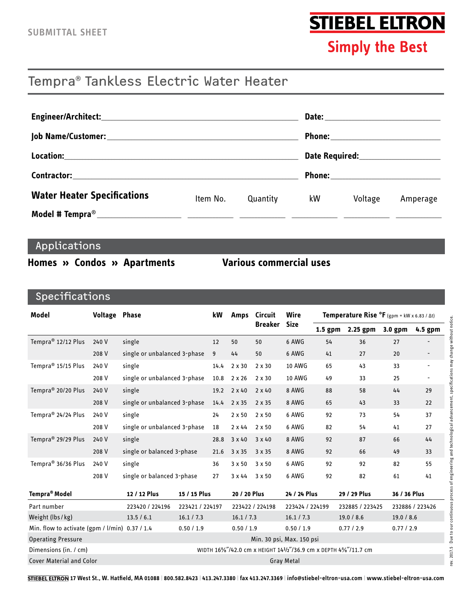# **STIEBEL ELTRON**

**Simply the Best** 

# Tempra® Tankless Electric Water Heater

|                                                                                                                                                                                                                                | Phone:__________________________ |          |    |                                     |          |  |  |
|--------------------------------------------------------------------------------------------------------------------------------------------------------------------------------------------------------------------------------|----------------------------------|----------|----|-------------------------------------|----------|--|--|
| Location: Note that the second contract of the second contract of the second contract of the second contract of the second contract of the second contract of the second contract of the second contract of the second contrac |                                  |          |    |                                     |          |  |  |
| <b>Contractor:</b> Contractor:                                                                                                                                                                                                 |                                  |          |    | Phone:_____________________________ |          |  |  |
| <b>Water Heater Specifications</b>                                                                                                                                                                                             | Item No.                         | Quantity | kW | Voltage                             | Amperage |  |  |
|                                                                                                                                                                                                                                |                                  |          |    |                                     |          |  |  |

### Applications

#### Homes » Condos » Apartments

#### **Various commercial uses**

## Specifications

| <b>Model</b>                                                                             | <b>Voltage Phase</b> |                                        |                   | kW                                                             | <b>Amps</b>   | <b>Circuit</b>  | Wire            | <b>Temperature Rise <math>^{\circ}</math>F</b> (gpm = kW x 6.83 / $\Delta t$ ) |                 |            |                          |
|------------------------------------------------------------------------------------------|----------------------|----------------------------------------|-------------------|----------------------------------------------------------------|---------------|-----------------|-----------------|--------------------------------------------------------------------------------|-----------------|------------|--------------------------|
|                                                                                          |                      |                                        |                   |                                                                |               | Breaker         | <b>Size</b>     | $1.5$ gpm                                                                      | 2.25 gpm        | 3.0 gpm    | 4.5 gpm                  |
| Tempra <sup>®</sup> 12/12 Plus<br>240 V<br>single                                        |                      |                                        | 12                | 50                                                             | 50            | 6 AWG           | 54              | 36                                                                             | 27              |            |                          |
|                                                                                          | 208 V                | single or unbalanced 3-phase           |                   | 9                                                              | 44            | 50              | 6 AWG           | 41                                                                             | 27              | 20         |                          |
| Tempra <sup>®</sup> 15/15 Plus                                                           | 240 V                | single<br>single or unbalanced 3-phase |                   | 14.4                                                           | 2 x 30        | 2 x 30          | <b>10 AWG</b>   | 65                                                                             | 43              | 33         | $\overline{a}$           |
|                                                                                          | 208 V                |                                        |                   | 10.8                                                           | 2 x 26        | $2 \times 30$   | <b>10 AWG</b>   | 49                                                                             | 33              | 25         | $\overline{\phantom{a}}$ |
| Tempra <sup>®</sup> 20/20 Plus<br>240 V<br>single                                        |                      |                                        | 19.2              |                                                                | $2 \times 40$ | $2 \times 40$   | 8 AWG           | 88                                                                             | 58              | 44         | 29                       |
| 208 V                                                                                    |                      | single or unbalanced 3-phase           |                   | 14.4                                                           | 2 x 35        | 2 x 35          | 8 AWG           | 65                                                                             | 43              | 33         | 22                       |
| Tempra <sup>®</sup> 24/24 Plus<br>single<br>240 V                                        |                      |                                        | 24                | $2 \times 50$                                                  | 2 x 50        | 6 AWG           | 92              | 73                                                                             | 54              | 37         |                          |
|                                                                                          | 208 V                | single or unbalanced 3-phase           |                   | 18                                                             | $2 \times 44$ | $2 \times 50$   | 6 AWG           | 82                                                                             | 54              | 41         | 27                       |
| Tempra <sup>®</sup> 29/29 Plus                                                           | 240 V                | single<br>single or balanced 3-phase   |                   | 28.8                                                           | $3 \times 40$ | $3 \times 40$   | 8 AWG           | 92                                                                             | 87              | 66         | 44                       |
|                                                                                          | 208 V                |                                        |                   | 21.6                                                           | 3 x 35        | 3 x 35          | 8 AWG           | 92                                                                             | 66              | 49         | 33                       |
| Tempra <sup>®</sup> 36/36 Plus<br>240 V<br>single<br>208 V<br>single or balanced 3-phase |                      |                                        | 36                | 3 x 50                                                         | 3 x 50        | 6 AWG           | 92              | 92                                                                             | 82              | 55         |                          |
|                                                                                          |                      |                                        |                   |                                                                | 3 x 44        | 3 x 50          | 6 AWG           | 92                                                                             | 82              | 61         | 41                       |
| <b>Tempra<sup>®</sup> Model</b><br>15 / 15 Plus<br>12 / 12 Plus                          |                      |                                        | 20 / 20 Plus      |                                                                | 24 / 24 Plus  |                 | 29 / 29 Plus    |                                                                                | 36 / 36 Plus    |            |                          |
| Part number                                                                              |                      | 223420 / 224196                        | 223421 / 224197   |                                                                |               | 223422 / 224198 | 223424 / 224199 |                                                                                | 232885 / 223425 |            | 232886 / 223426          |
| Weight (lbs/kg)                                                                          |                      | 13.5 / 6.1                             | 16.1 / 7.3        |                                                                | 16.1 / 7.3    |                 | 16.1 / 7.3      |                                                                                | 19.0 / 8.6      | 19.0 / 8.6 |                          |
| Min. flow to activate (gpm / l/min) 0.37 / 1.4                                           |                      | 0.50 / 1.9                             |                   | 0.50 / 1.9                                                     |               | 0.50 / 1.9      |                 | 0.77 / 2.9                                                                     | 0.77/2.9        |            |                          |
| <b>Operating Pressure</b>                                                                |                      | Min. 30 psi, Max. 150 psi              |                   |                                                                |               |                 |                 |                                                                                |                 |            |                          |
| Dimensions (in. / cm)                                                                    |                      |                                        |                   | WIDTH 16%"/42.0 cm x HEIGHT 141/2"/36.9 cm x DEPTH 4%"/11.7 cm |               |                 |                 |                                                                                |                 |            |                          |
| <b>Cover Material and Color</b>                                                          |                      |                                        | <b>Gray Metal</b> |                                                                |               |                 |                 |                                                                                |                 |            |                          |

STIEBEL ELTRON 17 West St., W. Hatfield, MA 01088 | 800.582.8423 | 413.247.3380 | fax 413.247.3369 | info@stiebel-eltron-usa.com | www.stiebel-eltron-usa.com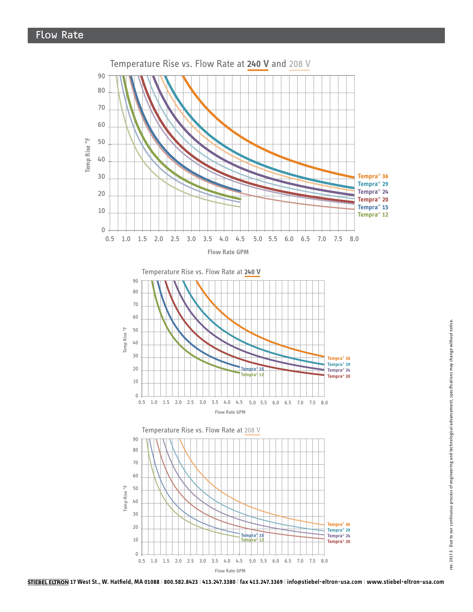

**17 West St., W. Hatfield, MA 01088 | 800.582.8423 | 413.247.3380 | fax 413.247.3369 | info@stiebel-eltron-usa.com | www.stiebel-eltron-usa.com**